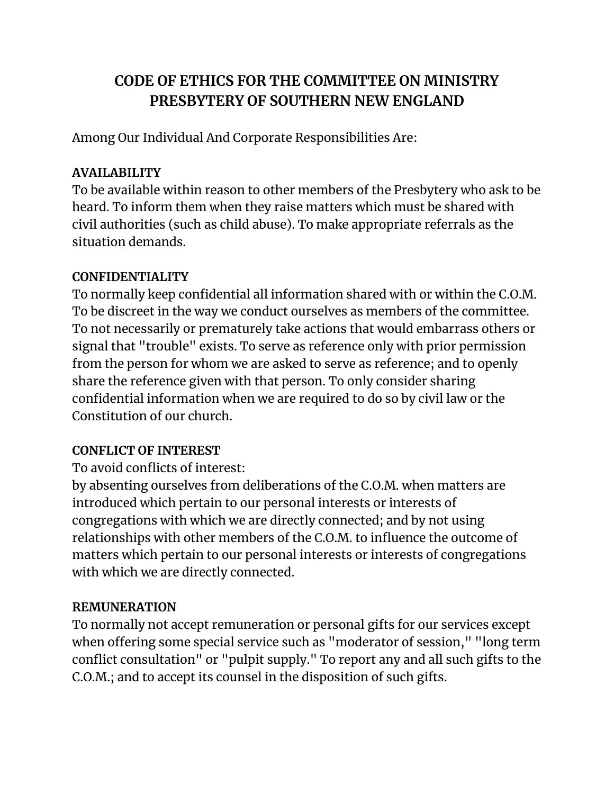## **CODE OF ETHICS FOR THE COMMITTEE ON MINISTRY PRESBYTERY OF SOUTHERN NEW ENGLAND**

Among Our Individual And Corporate Responsibilities Are:

### **AVAILABILITY**

To be available within reason to other members of the Presbytery who ask to be heard. To inform them when they raise matters which must be shared with civil authorities (such as child abuse). To make appropriate referrals as the situation demands.

### **CONFIDENTIALITY**

To normally keep confidential all information shared with or within the C.O.M. To be discreet in the way we conduct ourselves as members of the committee. To not necessarily or prematurely take actions that would embarrass others or signal that "trouble" exists. To serve as reference only with prior permission from the person for whom we are asked to serve as reference; and to openly share the reference given with that person. To only consider sharing confidential information when we are required to do so by civil law or the Constitution of our church.

### **CONFLICT OF INTEREST**

To avoid conflicts of interest:

by absenting ourselves from deliberations of the C.O.M. when matters are introduced which pertain to our personal interests or interests of congregations with which we are directly connected; and by not using relationships with other members of the C.O.M. to influence the outcome of matters which pertain to our personal interests or interests of congregations with which we are directly connected.

### **REMUNERATION**

To normally not accept remuneration or personal gifts for our services except when offering some special service such as "moderator of session," "long term conflict consultation" or "pulpit supply." To report any and all such gifts to the C.O.M.; and to accept its counsel in the disposition of such gifts.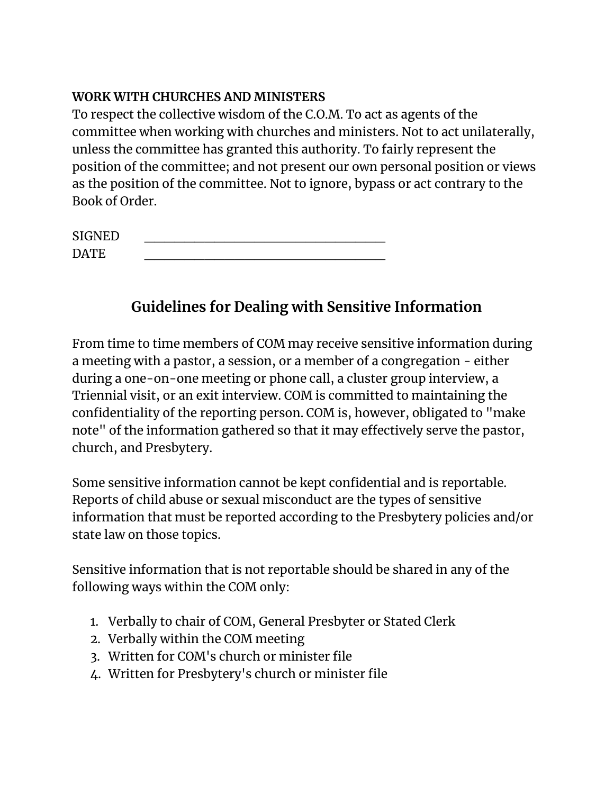#### **WORK WITH CHURCHES AND MINISTERS**

To respect the collective wisdom of the C.O.M. To act as agents of the committee when working with churches and ministers. Not to act unilaterally, unless the committee has granted this authority. To fairly represent the position of the committee; and not present our own personal position or views as the position of the committee. Not to ignore, bypass or act contrary to the Book of Order.

| <b>SIGNED</b> |  |
|---------------|--|
| DATE.         |  |

# **Guidelines for Dealing with Sensitive Information**

From time to time members of COM may receive sensitive information during a meeting with a pastor, a session, or a member of a congregation - either during a one-on-one meeting or phone call, a cluster group interview, a Triennial visit, or an exit interview. COM is committed to maintaining the confidentiality of the reporting person. COM is, however, obligated to "make note" of the information gathered so that it may effectively serve the pastor, church, and Presbytery.

Some sensitive information cannot be kept confidential and is reportable. Reports of child abuse or sexual misconduct are the types of sensitive information that must be reported according to the Presbytery policies and/or state law on those topics.

Sensitive information that is not reportable should be shared in any of the following ways within the COM only:

- 1. Verbally to chair of COM, General Presbyter or Stated Clerk
- 2. Verbally within the COM meeting
- 3. Written for COM's church or minister file
- 4. Written for Presbytery's church or minister file